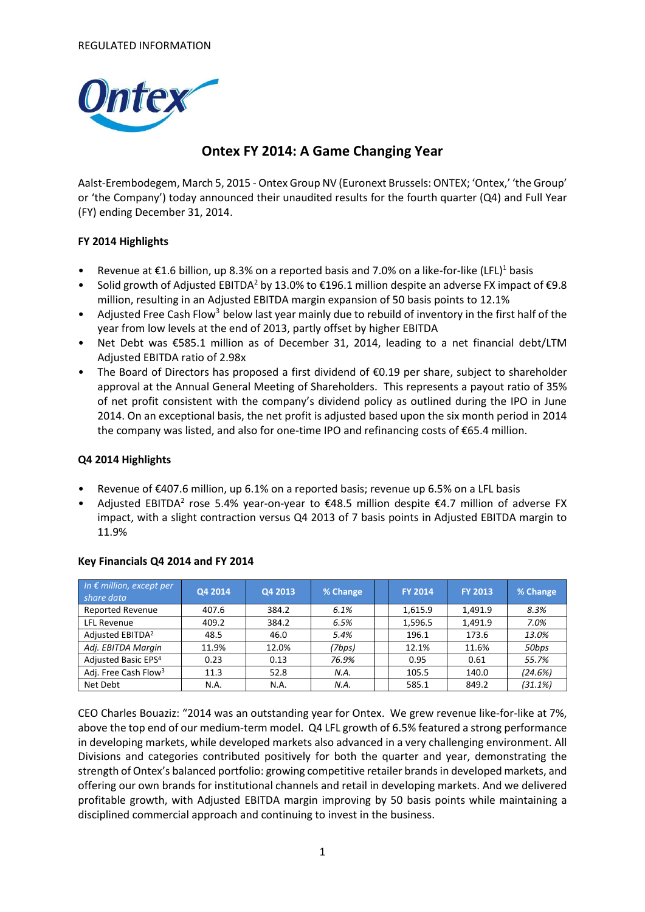

## **Ontex FY 2014: A Game Changing Year**

Aalst-Erembodegem, March 5, 2015 - Ontex Group NV (Euronext Brussels: ONTEX; 'Ontex,' 'the Group' or 'the Company') today announced their unaudited results for the fourth quarter (Q4) and Full Year (FY) ending December 31, 2014.

#### **FY 2014 Highlights**

- Revenue at  $\epsilon$ 1.6 billion, up 8.3% on a reported basis and 7.0% on a like-for-like (LFL)<sup>1</sup> basis
- Solid growth of Adjusted EBITDA<sup>2</sup> by 13.0% to €196.1 million despite an adverse FX impact of €9.8 million, resulting in an Adjusted EBITDA margin expansion of 50 basis points to 12.1%
- Adjusted Free Cash Flow<sup>3</sup> below last year mainly due to rebuild of inventory in the first half of the year from low levels at the end of 2013, partly offset by higher EBITDA
- Net Debt was €585.1 million as of December 31, 2014, leading to a net financial debt/LTM Adjusted EBITDA ratio of 2.98x
- The Board of Directors has proposed a first dividend of €0.19 per share, subject to shareholder approval at the Annual General Meeting of Shareholders. This represents a payout ratio of 35% of net profit consistent with the company's dividend policy as outlined during the IPO in June 2014. On an exceptional basis, the net profit is adjusted based upon the six month period in 2014 the company was listed, and also for one-time IPO and refinancing costs of €65.4 million.

#### **Q4 2014 Highlights**

- Revenue of  $\epsilon$ 407.6 million, up 6.1% on a reported basis; revenue up 6.5% on a LFL basis
- Adjusted EBITDA<sup>2</sup> rose 5.4% year-on-year to  $\epsilon$ 48.5 million despite  $\epsilon$ 4.7 million of adverse FX impact, with a slight contraction versus Q4 2013 of 7 basis points in Adjusted EBITDA margin to 11.9%

| In $\epsilon$ million, except per<br>share data | Q4 2014 | Q4 2013 | % Change | <b>FY 2014</b> | <b>FY 2013</b> | % Change |
|-------------------------------------------------|---------|---------|----------|----------------|----------------|----------|
| <b>Reported Revenue</b>                         | 407.6   | 384.2   | 6.1%     | 1,615.9        | 1.491.9        | 8.3%     |
| <b>LFL Revenue</b>                              | 409.2   | 384.2   | 6.5%     | 1,596.5        | 1,491.9        | 7.0%     |
| Adjusted EBITDA <sup>2</sup>                    | 48.5    | 46.0    | 5.4%     | 196.1          | 173.6          | 13.0%    |
| Adj. EBITDA Margin                              | 11.9%   | 12.0%   | (7bps)   | 12.1%          | 11.6%          | 50bps    |
| Adjusted Basic EPS <sup>4</sup>                 | 0.23    | 0.13    | 76.9%    | 0.95           | 0.61           | 55.7%    |
| Adj. Free Cash Flow <sup>3</sup>                | 11.3    | 52.8    | N.A.     | 105.5          | 140.0          | (24.6%)  |
| Net Debt                                        | N.A.    | N.A.    | N.A.     | 585.1          | 849.2          | (31.1%)  |

#### **Key Financials Q4 2014 and FY 2014**

CEO Charles Bouaziz: "2014 was an outstanding year for Ontex. We grew revenue like-for-like at 7%, above the top end of our medium-term model. Q4 LFL growth of 6.5% featured a strong performance in developing markets, while developed markets also advanced in a very challenging environment. All Divisions and categories contributed positively for both the quarter and year, demonstrating the strength of Ontex's balanced portfolio: growing competitive retailer brands in developed markets, and offering our own brands for institutional channels and retail in developing markets. And we delivered profitable growth, with Adjusted EBITDA margin improving by 50 basis points while maintaining a disciplined commercial approach and continuing to invest in the business.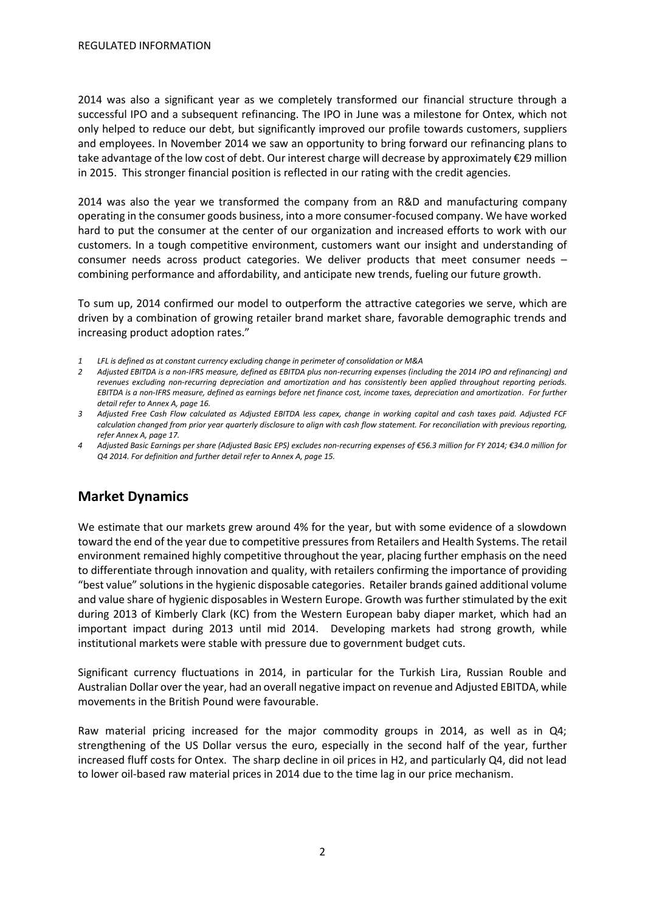2014 was also a significant year as we completely transformed our financial structure through a successful IPO and a subsequent refinancing. The IPO in June was a milestone for Ontex, which not only helped to reduce our debt, but significantly improved our profile towards customers, suppliers and employees. In November 2014 we saw an opportunity to bring forward our refinancing plans to take advantage of the low cost of debt. Our interest charge will decrease by approximately €29 million in 2015. This stronger financial position is reflected in our rating with the credit agencies.

2014 was also the year we transformed the company from an R&D and manufacturing company operating in the consumer goods business, into a more consumer-focused company. We have worked hard to put the consumer at the center of our organization and increased efforts to work with our customers. In a tough competitive environment, customers want our insight and understanding of consumer needs across product categories. We deliver products that meet consumer needs – combining performance and affordability, and anticipate new trends, fueling our future growth.

To sum up, 2014 confirmed our model to outperform the attractive categories we serve, which are driven by a combination of growing retailer brand market share, favorable demographic trends and increasing product adoption rates."

- *1 LFL is defined as at constant currency excluding change in perimeter of consolidation or M&A*
- *2 Adjusted EBITDA is a non-IFRS measure, defined as EBITDA plus non-recurring expenses (including the 2014 IPO and refinancing) and revenues excluding non-recurring depreciation and amortization and has consistently been applied throughout reporting periods. EBITDA is a non-IFRS measure, defined as earnings before net finance cost, income taxes, depreciation and amortization. For further detail refer to Annex A, page 16.*
- *3 Adjusted Free Cash Flow calculated as Adjusted EBITDA less capex, change in working capital and cash taxes paid. Adjusted FCF calculation changed from prior year quarterly disclosure to align with cash flow statement. For reconciliation with previous reporting, refer Annex A, page 17.*
- *4 Adjusted Basic Earnings per share (Adjusted Basic EPS) excludes non-recurring expenses of €56.3 million for FY 2014; €34.0 million for Q4 2014. For definition and further detail refer to Annex A, page 15.*

## **Market Dynamics**

We estimate that our markets grew around 4% for the year, but with some evidence of a slowdown toward the end of the year due to competitive pressures from Retailers and Health Systems. The retail environment remained highly competitive throughout the year, placing further emphasis on the need to differentiate through innovation and quality, with retailers confirming the importance of providing "best value" solutions in the hygienic disposable categories. Retailer brands gained additional volume and value share of hygienic disposables in Western Europe. Growth was further stimulated by the exit during 2013 of Kimberly Clark (KC) from the Western European baby diaper market, which had an important impact during 2013 until mid 2014. Developing markets had strong growth, while institutional markets were stable with pressure due to government budget cuts.

Significant currency fluctuations in 2014, in particular for the Turkish Lira, Russian Rouble and Australian Dollar over the year, had an overall negative impact on revenue and Adjusted EBITDA, while movements in the British Pound were favourable.

Raw material pricing increased for the major commodity groups in 2014, as well as in Q4; strengthening of the US Dollar versus the euro, especially in the second half of the year, further increased fluff costs for Ontex. The sharp decline in oil prices in H2, and particularly Q4, did not lead to lower oil-based raw material prices in 2014 due to the time lag in our price mechanism.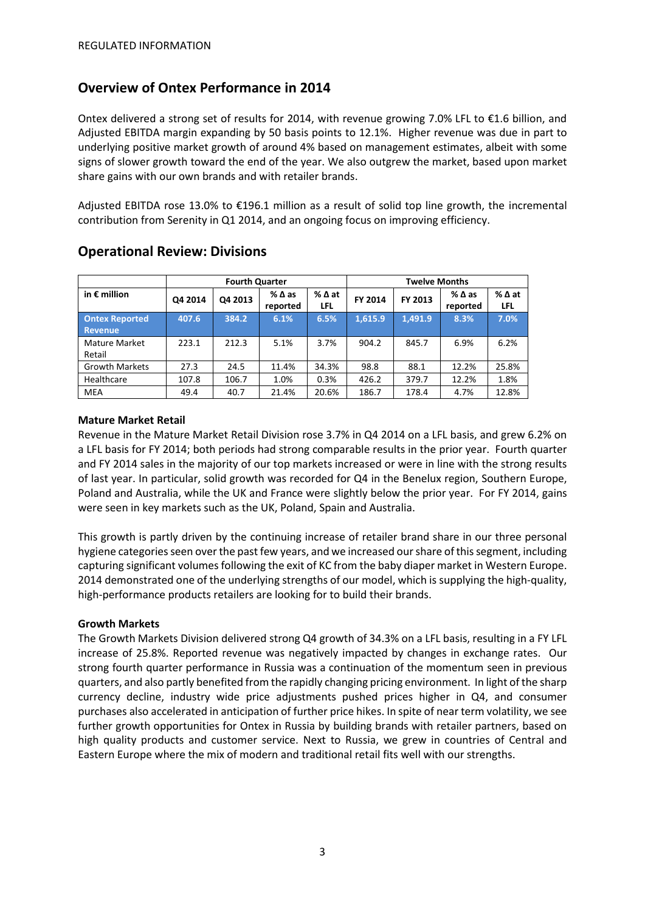### **Overview of Ontex Performance in 2014**

Ontex delivered a strong set of results for 2014, with revenue growing 7.0% LFL to €1.6 billion, and Adjusted EBITDA margin expanding by 50 basis points to 12.1%. Higher revenue was due in part to underlying positive market growth of around 4% based on management estimates, albeit with some signs of slower growth toward the end of the year. We also outgrew the market, based upon market share gains with our own brands and with retailer brands.

Adjusted EBITDA rose 13.0% to €196.1 million as a result of solid top line growth, the incremental contribution from Serenity in Q1 2014, and an ongoing focus on improving efficiency.

|                       | <b>Fourth Quarter</b> |         |                             |             | <b>Twelve Months</b> |         |                             |             |
|-----------------------|-----------------------|---------|-----------------------------|-------------|----------------------|---------|-----------------------------|-------------|
| in $\epsilon$ million | Q4 2014               | Q4 2013 | $%$ $\Delta$ as<br>reported | %∆at<br>LFL | FY 2014              | FY 2013 | $%$ $\Delta$ as<br>reported | %∆at<br>LFL |
| <b>Ontex Reported</b> | 407.6                 | 384.2   | 6.1%                        | 6.5%        | 1,615.9              | 1,491.9 | 8.3%                        | 7.0%        |
| Revenue               |                       |         |                             |             |                      |         |                             |             |
| Mature Market         | 223.1                 | 212.3   | 5.1%                        | 3.7%        | 904.2                | 845.7   | 6.9%                        | 6.2%        |
| Retail                |                       |         |                             |             |                      |         |                             |             |
| <b>Growth Markets</b> | 27.3                  | 24.5    | 11.4%                       | 34.3%       | 98.8                 | 88.1    | 12.2%                       | 25.8%       |
| Healthcare            | 107.8                 | 106.7   | 1.0%                        | 0.3%        | 426.2                | 379.7   | 12.2%                       | 1.8%        |
| MEA                   | 49.4                  | 40.7    | 21.4%                       | 20.6%       | 186.7                | 178.4   | 4.7%                        | 12.8%       |

### **Operational Review: Divisions**

#### **Mature Market Retail**

Revenue in the Mature Market Retail Division rose 3.7% in Q4 2014 on a LFL basis, and grew 6.2% on a LFL basis for FY 2014; both periods had strong comparable results in the prior year. Fourth quarter and FY 2014 sales in the majority of our top markets increased or were in line with the strong results of last year. In particular, solid growth was recorded for Q4 in the Benelux region, Southern Europe, Poland and Australia, while the UK and France were slightly below the prior year. For FY 2014, gains were seen in key markets such as the UK, Poland, Spain and Australia.

This growth is partly driven by the continuing increase of retailer brand share in our three personal hygiene categories seen over the past few years, and we increased our share of this segment, including capturing significant volumes following the exit of KC from the baby diaper market in Western Europe. 2014 demonstrated one of the underlying strengths of our model, which is supplying the high-quality, high-performance products retailers are looking for to build their brands.

#### **Growth Markets**

The Growth Markets Division delivered strong Q4 growth of 34.3% on a LFL basis, resulting in a FY LFL increase of 25.8%. Reported revenue was negatively impacted by changes in exchange rates. Our strong fourth quarter performance in Russia was a continuation of the momentum seen in previous quarters, and also partly benefited from the rapidly changing pricing environment. In light of the sharp currency decline, industry wide price adjustments pushed prices higher in Q4, and consumer purchases also accelerated in anticipation of further price hikes. In spite of near term volatility, we see further growth opportunities for Ontex in Russia by building brands with retailer partners, based on high quality products and customer service. Next to Russia, we grew in countries of Central and Eastern Europe where the mix of modern and traditional retail fits well with our strengths.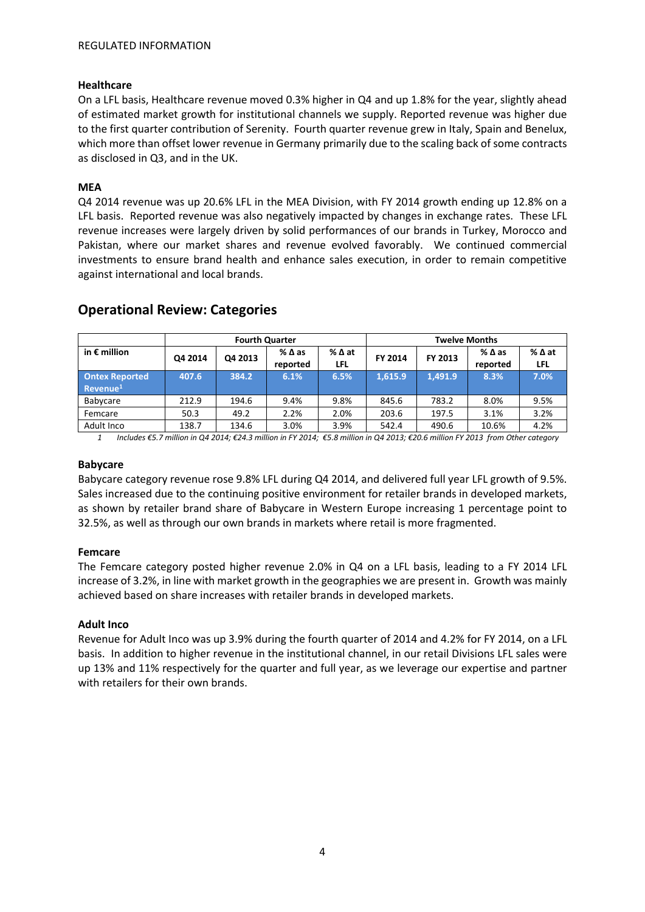#### **Healthcare**

On a LFL basis, Healthcare revenue moved 0.3% higher in Q4 and up 1.8% for the year, slightly ahead of estimated market growth for institutional channels we supply. Reported revenue was higher due to the first quarter contribution of Serenity. Fourth quarter revenue grew in Italy, Spain and Benelux, which more than offset lower revenue in Germany primarily due to the scaling back of some contracts as disclosed in Q3, and in the UK.

#### **MEA**

Q4 2014 revenue was up 20.6% LFL in the MEA Division, with FY 2014 growth ending up 12.8% on a LFL basis. Reported revenue was also negatively impacted by changes in exchange rates. These LFL revenue increases were largely driven by solid performances of our brands in Turkey, Morocco and Pakistan, where our market shares and revenue evolved favorably. We continued commercial investments to ensure brand health and enhance sales execution, in order to remain competitive against international and local brands.

|                                               | <b>Fourth Quarter</b> |         |                             |             | <b>Twelve Months</b> |         |                             |             |
|-----------------------------------------------|-----------------------|---------|-----------------------------|-------------|----------------------|---------|-----------------------------|-------------|
| in $\epsilon$ million                         | Q4 2014               | Q4 2013 | $%$ $\Delta$ as<br>reported | %∆at<br>LFL | FY 2014              | FY 2013 | $%$ $\Delta$ as<br>reported | %∆at<br>LFL |
| <b>Ontex Reported</b><br>Revenue <sup>1</sup> | 407.6                 | 384.2   | 6.1%                        | 6.5%        | 1.615.9              | 1.491.9 | 8.3%                        | 7.0%        |
| Babycare                                      | 212.9                 | 194.6   | 9.4%                        | 9.8%        | 845.6                | 783.2   | 8.0%                        | 9.5%        |
| Femcare                                       | 50.3                  | 49.2    | 2.2%                        | 2.0%        | 203.6                | 197.5   | 3.1%                        | 3.2%        |
| Adult Inco                                    | 138.7                 | 134.6   | 3.0%                        | 3.9%        | 542.4                | 490.6   | 10.6%                       | 4.2%        |

### **Operational Review: Categories**

*1 Includes €5.7 million in Q4 2014; €24.3 million in FY 2014; €5.8 million in Q4 2013; €20.6 million FY 2013 from Other category*

#### **Babycare**

Babycare category revenue rose 9.8% LFL during Q4 2014, and delivered full year LFL growth of 9.5%. Sales increased due to the continuing positive environment for retailer brands in developed markets, as shown by retailer brand share of Babycare in Western Europe increasing 1 percentage point to 32.5%, as well as through our own brands in markets where retail is more fragmented.

#### **Femcare**

The Femcare category posted higher revenue 2.0% in Q4 on a LFL basis, leading to a FY 2014 LFL increase of 3.2%, in line with market growth in the geographies we are present in. Growth was mainly achieved based on share increases with retailer brands in developed markets.

#### **Adult Inco**

Revenue for Adult Inco was up 3.9% during the fourth quarter of 2014 and 4.2% for FY 2014, on a LFL basis. In addition to higher revenue in the institutional channel, in our retail Divisions LFL sales were up 13% and 11% respectively for the quarter and full year, as we leverage our expertise and partner with retailers for their own brands.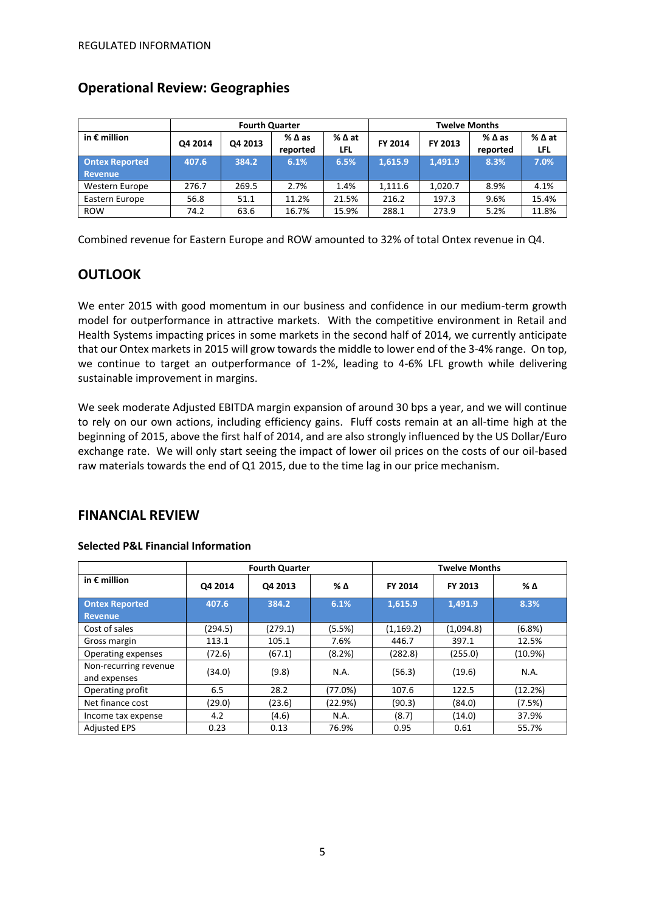|                                  | <b>Fourth Quarter</b> |         |                             |                    | <b>Twelve Months</b> |         |                             |               |
|----------------------------------|-----------------------|---------|-----------------------------|--------------------|----------------------|---------|-----------------------------|---------------|
| in $\epsilon$ million            | Q4 2014               | Q4 2013 | $%$ $\Delta$ as<br>reported | %∆at<br><b>LFL</b> | FY 2014              | FY 2013 | $%$ $\Delta$ as<br>reported | % ∆ at<br>LFL |
| <b>Ontex Reported</b><br>Revenue | 407.6                 | 384.2   | 6.1%                        | 6.5%               | 1.615.9              | 1.491.9 | 8.3%                        | 7.0%          |
| Western Europe                   | 276.7                 | 269.5   | 2.7%                        | 1.4%               | 1,111.6              | 1.020.7 | 8.9%                        | 4.1%          |
| Eastern Europe                   | 56.8                  | 51.1    | 11.2%                       | 21.5%              | 216.2                | 197.3   | 9.6%                        | 15.4%         |
| <b>ROW</b>                       | 74.2                  | 63.6    | 16.7%                       | 15.9%              | 288.1                | 273.9   | 5.2%                        | 11.8%         |

### **Operational Review: Geographies**

Combined revenue for Eastern Europe and ROW amounted to 32% of total Ontex revenue in Q4.

### **OUTLOOK**

We enter 2015 with good momentum in our business and confidence in our medium-term growth model for outperformance in attractive markets. With the competitive environment in Retail and Health Systems impacting prices in some markets in the second half of 2014, we currently anticipate that our Ontex markets in 2015 will grow towards the middle to lower end of the 3-4% range. On top, we continue to target an outperformance of 1-2%, leading to 4-6% LFL growth while delivering sustainable improvement in margins.

We seek moderate Adjusted EBITDA margin expansion of around 30 bps a year, and we will continue to rely on our own actions, including efficiency gains. Fluff costs remain at an all-time high at the beginning of 2015, above the first half of 2014, and are also strongly influenced by the US Dollar/Euro exchange rate. We will only start seeing the impact of lower oil prices on the costs of our oil-based raw materials towards the end of Q1 2015, due to the time lag in our price mechanism.

### **FINANCIAL REVIEW**

|                                         | <b>Fourth Quarter</b> |         |         | <b>Twelve Months</b> |           |            |  |
|-----------------------------------------|-----------------------|---------|---------|----------------------|-----------|------------|--|
| in $\epsilon$ million                   | Q4 2014               | Q4 2013 | % Δ     | FY 2014              | FY 2013   | % Δ        |  |
| <b>Ontex Reported</b><br><b>Revenue</b> | 407.6                 | 384.2   | 6.1%    | 1,615.9              | 1,491.9   | 8.3%       |  |
| Cost of sales                           | (294.5)               | (279.1) | (5.5%)  | (1, 169.2)           | (1,094.8) | (6.8%)     |  |
| Gross margin                            | 113.1                 | 105.1   | 7.6%    | 446.7                | 397.1     | 12.5%      |  |
| Operating expenses                      | (72.6)                | (67.1)  | (8.2%)  | (282.8)              | (255.0)   | $(10.9\%)$ |  |
| Non-recurring revenue<br>and expenses   | (34.0)                | (9.8)   | N.A.    | (56.3)               | (19.6)    | N.A.       |  |
| Operating profit                        | 6.5                   | 28.2    | (77.0%) | 107.6                | 122.5     | (12.2%)    |  |
| Net finance cost                        | (29.0)                | (23.6)  | (22.9%) | (90.3)               | (84.0)    | (7.5%)     |  |
| Income tax expense                      | 4.2                   | (4.6)   | N.A.    | (8.7)                | (14.0)    | 37.9%      |  |
| <b>Adjusted EPS</b>                     | 0.23                  | 0.13    | 76.9%   | 0.95                 | 0.61      | 55.7%      |  |

#### **Selected P&L Financial Information**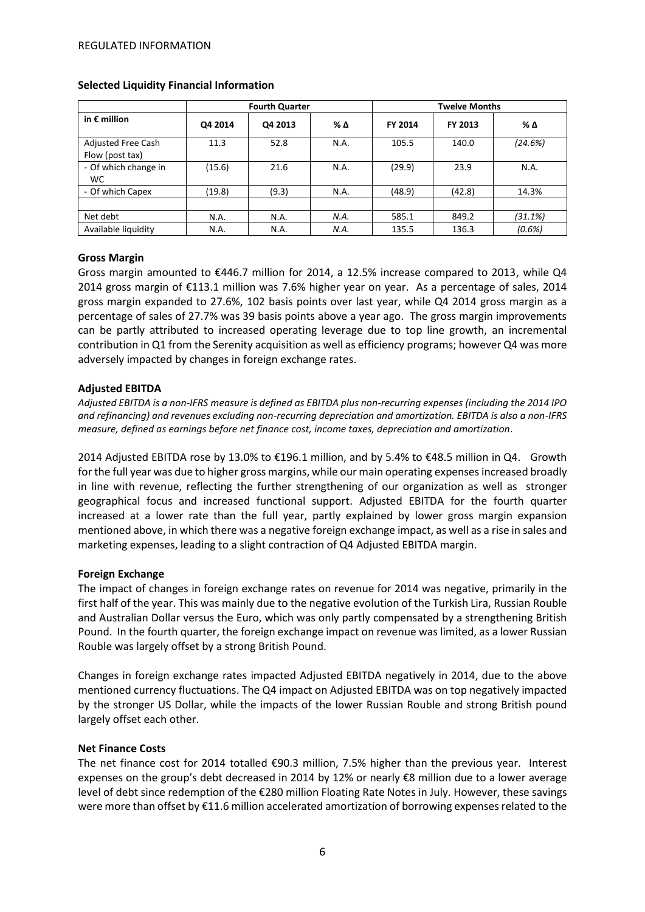|                                       |         | <b>Fourth Quarter</b> |      | <b>Twelve Months</b> |         |         |  |
|---------------------------------------|---------|-----------------------|------|----------------------|---------|---------|--|
| in $\epsilon$ million                 | Q4 2014 | Q4 2013               | % Δ  | FY 2014              | FY 2013 | % Δ     |  |
| Adjusted Free Cash<br>Flow (post tax) | 11.3    | 52.8                  | N.A. | 105.5                | 140.0   | (24.6%) |  |
| - Of which change in<br><b>WC</b>     | (15.6)  | 21.6                  | N.A. | (29.9)               | 23.9    | N.A.    |  |
| - Of which Capex                      | (19.8)  | (9.3)                 | N.A. | (48.9)               | (42.8)  | 14.3%   |  |
|                                       |         |                       |      |                      |         |         |  |
| Net debt                              | N.A.    | N.A.                  | N.A. | 585.1                | 849.2   | (31.1%) |  |
| Available liquidity                   | N.A.    | N.A.                  | N.A. | 135.5                | 136.3   | (0.6%)  |  |

#### **Selected Liquidity Financial Information**

#### **Gross Margin**

Gross margin amounted to €446.7 million for 2014, a 12.5% increase compared to 2013, while Q4 2014 gross margin of €113.1 million was 7.6% higher year on year. As a percentage of sales, 2014 gross margin expanded to 27.6%, 102 basis points over last year, while Q4 2014 gross margin as a percentage of sales of 27.7% was 39 basis points above a year ago. The gross margin improvements can be partly attributed to increased operating leverage due to top line growth, an incremental contribution in Q1 from the Serenity acquisition as well as efficiency programs; however Q4 was more adversely impacted by changes in foreign exchange rates.

#### **Adjusted EBITDA**

*Adjusted EBITDA is a non-IFRS measure is defined as EBITDA plus non-recurring expenses (including the 2014 IPO and refinancing) and revenues excluding non-recurring depreciation and amortization. EBITDA is also a non-IFRS measure, defined as earnings before net finance cost, income taxes, depreciation and amortization.*

2014 Adjusted EBITDA rose by 13.0% to €196.1 million, and by 5.4% to €48.5 million in Q4. Growth for the full year was due to higher gross margins, while our main operating expenses increased broadly in line with revenue, reflecting the further strengthening of our organization as well as stronger geographical focus and increased functional support. Adjusted EBITDA for the fourth quarter increased at a lower rate than the full year, partly explained by lower gross margin expansion mentioned above, in which there was a negative foreign exchange impact, as well as a rise in sales and marketing expenses, leading to a slight contraction of Q4 Adjusted EBITDA margin.

#### **Foreign Exchange**

The impact of changes in foreign exchange rates on revenue for 2014 was negative, primarily in the first half of the year. This was mainly due to the negative evolution of the Turkish Lira, Russian Rouble and Australian Dollar versus the Euro, which was only partly compensated by a strengthening British Pound. In the fourth quarter, the foreign exchange impact on revenue was limited, as a lower Russian Rouble was largely offset by a strong British Pound.

Changes in foreign exchange rates impacted Adjusted EBITDA negatively in 2014, due to the above mentioned currency fluctuations. The Q4 impact on Adjusted EBITDA was on top negatively impacted by the stronger US Dollar, while the impacts of the lower Russian Rouble and strong British pound largely offset each other.

#### **Net Finance Costs**

The net finance cost for 2014 totalled €90.3 million, 7.5% higher than the previous year. Interest expenses on the group's debt decreased in 2014 by 12% or nearly €8 million due to a lower average level of debt since redemption of the €280 million Floating Rate Notes in July. However, these savings were more than offset by €11.6 million accelerated amortization of borrowing expenses related to the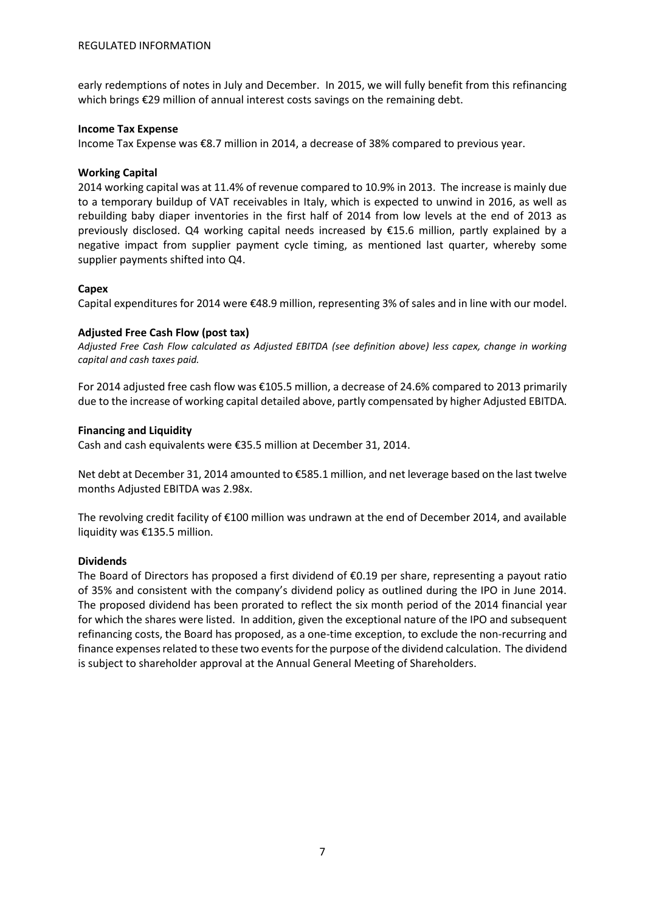early redemptions of notes in July and December. In 2015, we will fully benefit from this refinancing which brings €29 million of annual interest costs savings on the remaining debt.

#### **Income Tax Expense**

Income Tax Expense was €8.7 million in 2014, a decrease of 38% compared to previous year.

#### **Working Capital**

2014 working capital was at 11.4% of revenue compared to 10.9% in 2013. The increase is mainly due to a temporary buildup of VAT receivables in Italy, which is expected to unwind in 2016, as well as rebuilding baby diaper inventories in the first half of 2014 from low levels at the end of 2013 as previously disclosed. Q4 working capital needs increased by €15.6 million, partly explained by a negative impact from supplier payment cycle timing, as mentioned last quarter, whereby some supplier payments shifted into Q4.

#### **Capex**

Capital expenditures for 2014 were €48.9 million, representing 3% of sales and in line with our model.

#### **Adjusted Free Cash Flow (post tax)**

*Adjusted Free Cash Flow calculated as Adjusted EBITDA (see definition above) less capex, change in working capital and cash taxes paid.*

For 2014 adjusted free cash flow was €105.5 million, a decrease of 24.6% compared to 2013 primarily due to the increase of working capital detailed above, partly compensated by higher Adjusted EBITDA.

#### **Financing and Liquidity**

Cash and cash equivalents were €35.5 million at December 31, 2014.

Net debt at December 31, 2014 amounted to €585.1 million, and net leverage based on the last twelve months Adjusted EBITDA was 2.98x.

The revolving credit facility of €100 million was undrawn at the end of December 2014, and available liquidity was €135.5 million.

#### **Dividends**

The Board of Directors has proposed a first dividend of  $\epsilon$ 0.19 per share, representing a payout ratio of 35% and consistent with the company's dividend policy as outlined during the IPO in June 2014. The proposed dividend has been prorated to reflect the six month period of the 2014 financial year for which the shares were listed. In addition, given the exceptional nature of the IPO and subsequent refinancing costs, the Board has proposed, as a one-time exception, to exclude the non-recurring and finance expenses related to these two events for the purpose of the dividend calculation. The dividend is subject to shareholder approval at the Annual General Meeting of Shareholders.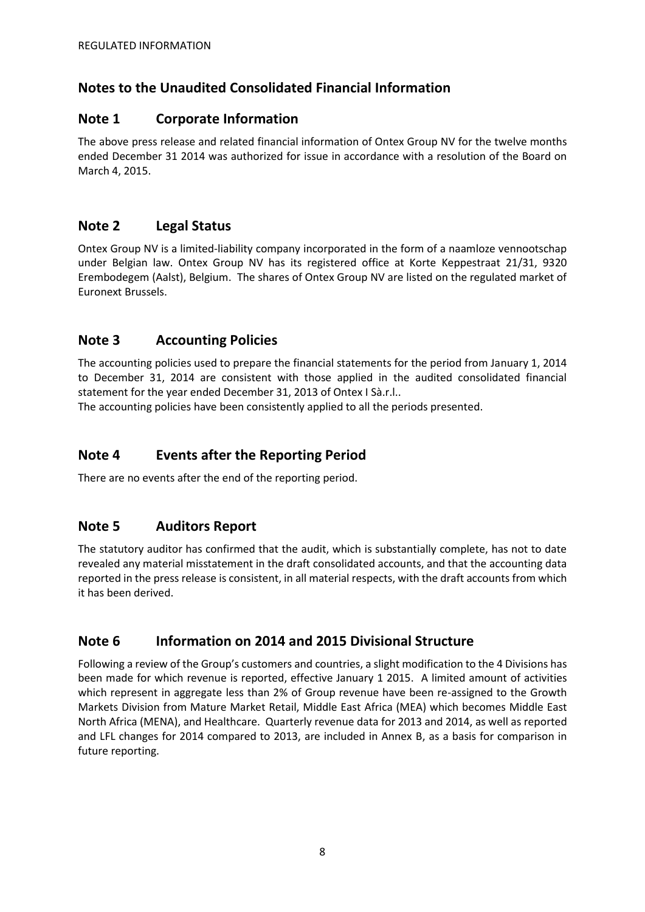### **Notes to the Unaudited Consolidated Financial Information**

### **Note 1 Corporate Information**

The above press release and related financial information of Ontex Group NV for the twelve months ended December 31 2014 was authorized for issue in accordance with a resolution of the Board on March 4, 2015.

### **Note 2 Legal Status**

Ontex Group NV is a limited-liability company incorporated in the form of a naamloze vennootschap under Belgian law. Ontex Group NV has its registered office at Korte Keppestraat 21/31, 9320 Erembodegem (Aalst), Belgium. The shares of Ontex Group NV are listed on the regulated market of Euronext Brussels.

## **Note 3 Accounting Policies**

The accounting policies used to prepare the financial statements for the period from January 1, 2014 to December 31, 2014 are consistent with those applied in the audited consolidated financial statement for the year ended December 31, 2013 of Ontex I Sà.r.l..

The accounting policies have been consistently applied to all the periods presented.

### **Note 4 Events after the Reporting Period**

There are no events after the end of the reporting period.

### **Note 5 Auditors Report**

The statutory auditor has confirmed that the audit, which is substantially complete, has not to date revealed any material misstatement in the draft consolidated accounts, and that the accounting data reported in the press release is consistent, in all material respects, with the draft accounts from which it has been derived.

## **Note 6 Information on 2014 and 2015 Divisional Structure**

Following a review of the Group's customers and countries, a slight modification to the 4 Divisions has been made for which revenue is reported, effective January 1 2015. A limited amount of activities which represent in aggregate less than 2% of Group revenue have been re-assigned to the Growth Markets Division from Mature Market Retail, Middle East Africa (MEA) which becomes Middle East North Africa (MENA), and Healthcare. Quarterly revenue data for 2013 and 2014, as well as reported and LFL changes for 2014 compared to 2013, are included in Annex B, as a basis for comparison in future reporting.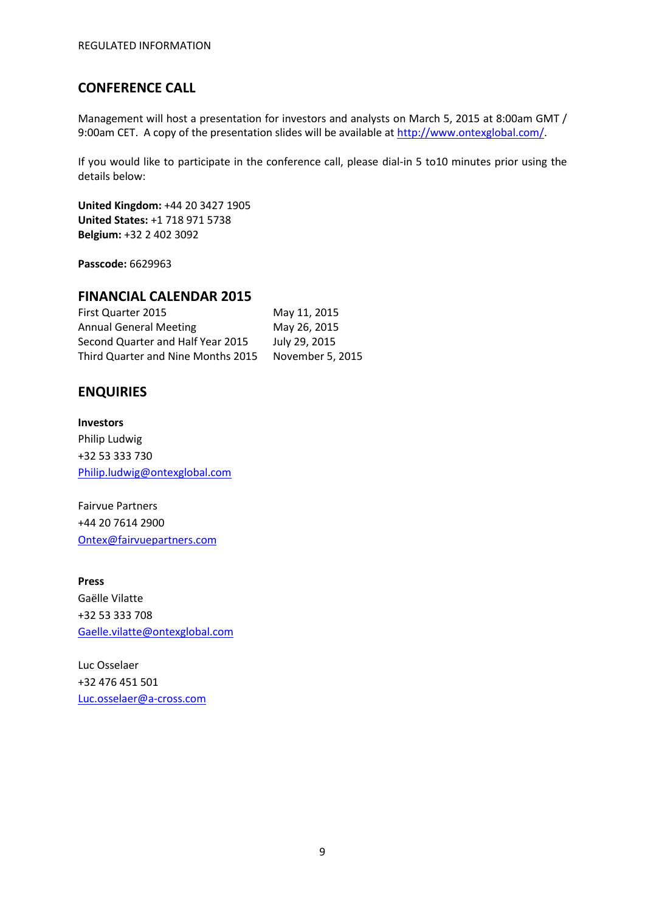### **CONFERENCE CALL**

Management will host a presentation for investors and analysts on March 5, 2015 at 8:00am GMT / 9:00am CET. A copy of the presentation slides will be available a[t http://www.ontexglobal.com/.](http://www.ontexglobal.com/)

If you would like to participate in the conference call, please dial-in 5 to10 minutes prior using the details below:

**United Kingdom:** +44 20 3427 1905 **United States:** +1 718 971 5738 **Belgium:** +32 2 402 3092

**Passcode:** 6629963

### **FINANCIAL CALENDAR 2015**

| November 5, 2015 |
|------------------|
|                  |

### **ENQUIRIES**

**Investors** Philip Ludwig +32 53 333 730 [Philip.ludwig@ontexglobal.com](mailto:Philip.ludwig@ontexglobal.com)

Fairvue Partners +44 20 7614 2900 [Ontex@fairvuepartners.com](mailto:Ontex@fairvuepartners.com)

**Press** Gaëlle Vilatte +32 53 333 708 [Gaelle.vilatte@ontexglobal.com](mailto:Gaelle.vilatte@ontexglobal.com)

Luc Osselaer +32 476 451 501 [Luc.osselaer@a-cross.com](mailto:Luc.osselaer@a-cross.com)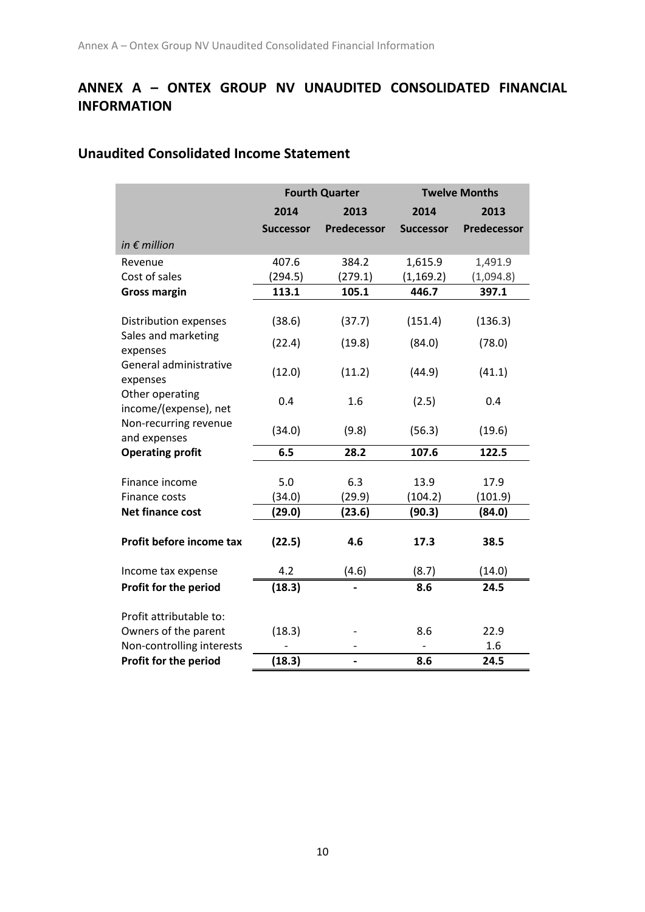# **ANNEX A – ONTEX GROUP NV UNAUDITED CONSOLIDATED FINANCIAL INFORMATION**

# **Unaudited Consolidated Income Statement**

|                                                    | <b>Fourth Quarter</b> |               |                  | <b>Twelve Months</b> |
|----------------------------------------------------|-----------------------|---------------|------------------|----------------------|
|                                                    | 2014                  | 2013          | 2014             | 2013                 |
|                                                    | <b>Successor</b>      | Predecessor   | <b>Successor</b> | Predecessor          |
| in $\epsilon$ million                              |                       |               |                  |                      |
| Revenue                                            | 407.6                 | 384.2         | 1,615.9          | 1,491.9              |
| Cost of sales                                      | (294.5)               | (279.1)       | (1, 169.2)       | (1,094.8)            |
| <b>Gross margin</b>                                | 113.1                 | 105.1         | 446.7            | 397.1                |
| Distribution expenses<br>Sales and marketing       | (38.6)                | (37.7)        | (151.4)          | (136.3)              |
| expenses                                           | (22.4)                | (19.8)        | (84.0)           | (78.0)               |
| General administrative<br>expenses                 | (12.0)                | (11.2)        | (44.9)           | (41.1)               |
| Other operating<br>income/(expense), net           | 0.4                   | 1.6           | (2.5)            | 0.4                  |
| Non-recurring revenue<br>and expenses              | (34.0)                | (9.8)         | (56.3)           | (19.6)               |
| <b>Operating profit</b>                            | 6.5                   | 28.2          | 107.6            | 122.5                |
| Finance income<br>Finance costs                    | 5.0<br>(34.0)         | 6.3<br>(29.9) | 13.9<br>(104.2)  | 17.9<br>(101.9)      |
| <b>Net finance cost</b>                            | (29.0)                | (23.6)        | (90.3)           | (84.0)               |
| Profit before income tax                           | (22.5)                | 4.6           | 17.3             | 38.5                 |
| Income tax expense                                 | 4.2                   | (4.6)         | (8.7)            | (14.0)               |
| Profit for the period                              | (18.3)                |               | 8.6              | 24.5                 |
| Profit attributable to:                            |                       |               |                  |                      |
| Owners of the parent                               | (18.3)                |               | 8.6              | 22.9                 |
| Non-controlling interests<br>Profit for the period | (18.3)                |               | 8.6              | 1.6<br>24.5          |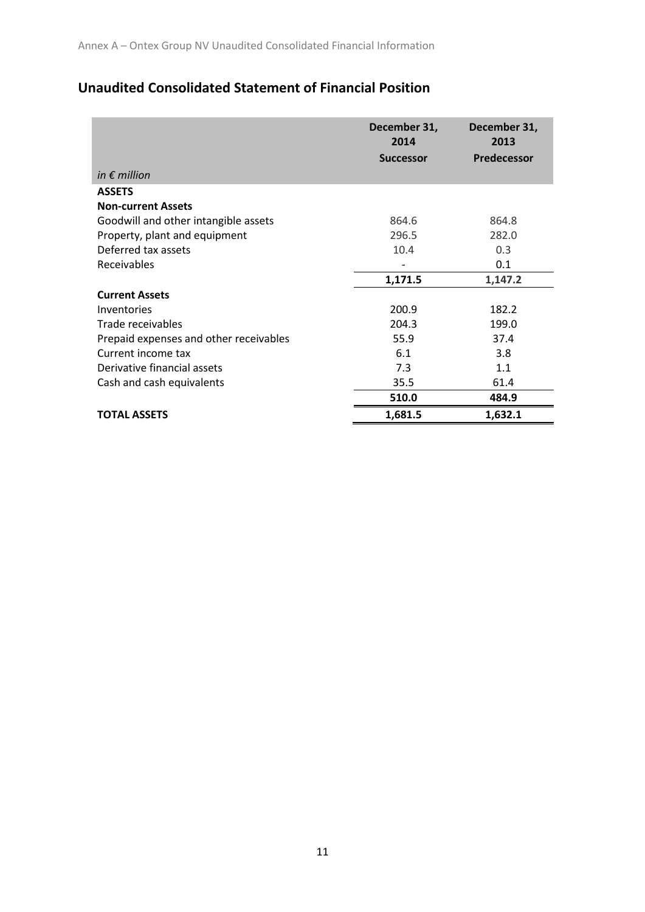# **Unaudited Consolidated Statement of Financial Position**

|                                        | December 31,<br>2014<br><b>Successor</b> | December 31,<br>2013<br><b>Predecessor</b> |
|----------------------------------------|------------------------------------------|--------------------------------------------|
| in $\epsilon$ million                  |                                          |                                            |
| <b>ASSETS</b>                          |                                          |                                            |
| <b>Non-current Assets</b>              |                                          |                                            |
| Goodwill and other intangible assets   | 864.6                                    | 864.8                                      |
| Property, plant and equipment          | 296.5                                    | 282.0                                      |
| Deferred tax assets                    | 10.4                                     | 0.3                                        |
| Receivables                            |                                          | 0.1                                        |
|                                        | 1,171.5                                  | 1,147.2                                    |
| <b>Current Assets</b>                  |                                          |                                            |
| Inventories                            | 200.9                                    | 182.2                                      |
| Trade receivables                      | 204.3                                    | 199.0                                      |
| Prepaid expenses and other receivables | 55.9                                     | 37.4                                       |
| Current income tax                     | 6.1                                      | 3.8                                        |
| Derivative financial assets            | 7.3                                      | 1.1                                        |
| Cash and cash equivalents              | 35.5                                     | 61.4                                       |
|                                        | 510.0                                    | 484.9                                      |
| <b>TOTAL ASSETS</b>                    | 1,681.5                                  | 1,632.1                                    |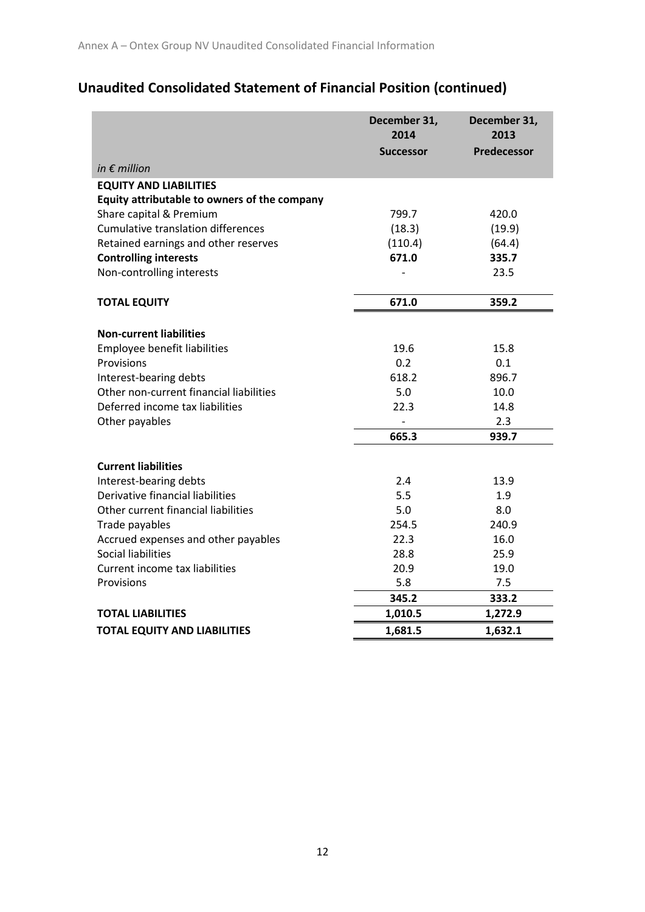# **Unaudited Consolidated Statement of Financial Position (continued)**

|                                              | December 31,<br>2014<br><b>Successor</b> | December 31,<br>2013<br><b>Predecessor</b> |
|----------------------------------------------|------------------------------------------|--------------------------------------------|
| in $\epsilon$ million                        |                                          |                                            |
| <b>EQUITY AND LIABILITIES</b>                |                                          |                                            |
| Equity attributable to owners of the company |                                          |                                            |
| Share capital & Premium                      | 799.7                                    | 420.0                                      |
| <b>Cumulative translation differences</b>    | (18.3)                                   | (19.9)                                     |
| Retained earnings and other reserves         | (110.4)                                  | (64.4)                                     |
| <b>Controlling interests</b>                 | 671.0                                    | 335.7                                      |
| Non-controlling interests                    |                                          | 23.5                                       |
| <b>TOTAL EQUITY</b>                          | 671.0                                    | 359.2                                      |
|                                              |                                          |                                            |
| <b>Non-current liabilities</b>               |                                          |                                            |
| Employee benefit liabilities                 | 19.6                                     | 15.8                                       |
| Provisions                                   | 0.2                                      | 0.1                                        |
| Interest-bearing debts                       | 618.2                                    | 896.7                                      |
| Other non-current financial liabilities      | 5.0                                      | 10.0                                       |
| Deferred income tax liabilities              | 22.3                                     | 14.8                                       |
| Other payables                               |                                          | 2.3                                        |
|                                              | 665.3                                    | 939.7                                      |
| <b>Current liabilities</b>                   |                                          |                                            |
| Interest-bearing debts                       | 2.4                                      | 13.9                                       |
| Derivative financial liabilities             | 5.5                                      | 1.9                                        |
| Other current financial liabilities          | 5.0                                      | 8.0                                        |
| Trade payables                               | 254.5                                    | 240.9                                      |
| Accrued expenses and other payables          | 22.3                                     | 16.0                                       |
| <b>Social liabilities</b>                    | 28.8                                     | 25.9                                       |
| Current income tax liabilities               | 20.9                                     | 19.0                                       |
| Provisions                                   | 5.8                                      | 7.5                                        |
|                                              | 345.2                                    | 333.2                                      |
| <b>TOTAL LIABILITIES</b>                     | 1,010.5                                  | 1,272.9                                    |
| <b>TOTAL EQUITY AND LIABILITIES</b>          | 1,681.5                                  | 1,632.1                                    |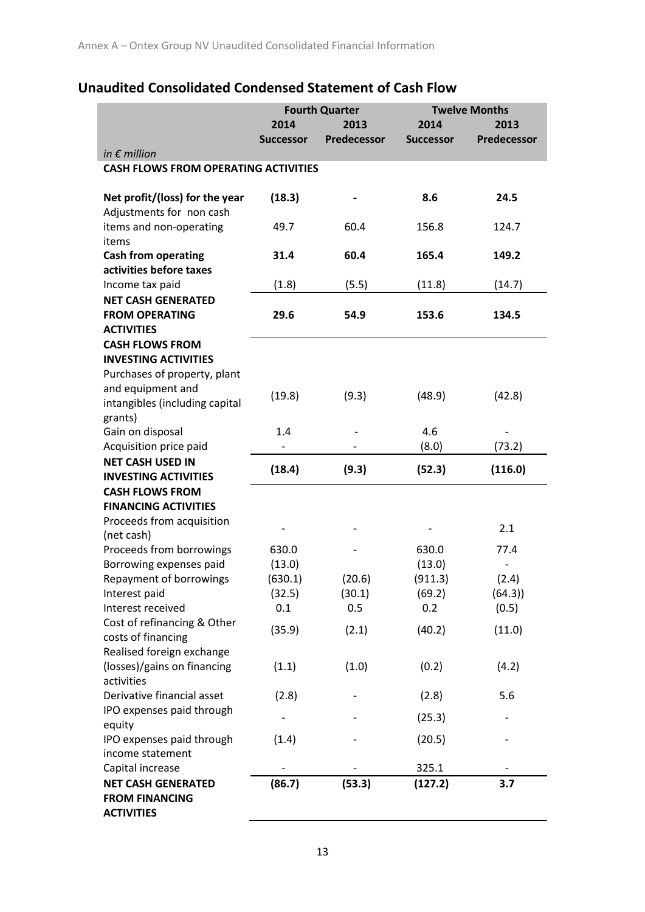# **Unaudited Consolidated Condensed Statement of Cash Flow**

|                                                       | <b>Fourth Quarter</b> |                    | <b>Twelve Months</b> |             |
|-------------------------------------------------------|-----------------------|--------------------|----------------------|-------------|
|                                                       | 2014                  | 2013               | 2014                 | 2013        |
|                                                       | <b>Successor</b>      | <b>Predecessor</b> | <b>Successor</b>     | Predecessor |
| in $\epsilon$ million                                 |                       |                    |                      |             |
| <b>CASH FLOWS FROM OPERATING ACTIVITIES</b>           |                       |                    |                      |             |
|                                                       |                       |                    |                      |             |
| Net profit/(loss) for the year                        | (18.3)                |                    | 8.6                  | 24.5        |
| Adjustments for non cash                              |                       |                    |                      |             |
| items and non-operating                               | 49.7                  | 60.4               | 156.8                | 124.7       |
| items                                                 |                       |                    |                      |             |
| <b>Cash from operating</b>                            | 31.4                  | 60.4               | 165.4                | 149.2       |
| activities before taxes                               |                       |                    |                      |             |
| Income tax paid                                       | (1.8)                 | (5.5)              | (11.8)               | (14.7)      |
| <b>NET CASH GENERATED</b>                             |                       |                    |                      |             |
| <b>FROM OPERATING</b>                                 | 29.6                  | 54.9               | 153.6                | 134.5       |
| <b>ACTIVITIES</b>                                     |                       |                    |                      |             |
| <b>CASH FLOWS FROM</b><br><b>INVESTING ACTIVITIES</b> |                       |                    |                      |             |
| Purchases of property, plant                          |                       |                    |                      |             |
| and equipment and                                     |                       |                    |                      |             |
| intangibles (including capital                        | (19.8)                | (9.3)              | (48.9)               | (42.8)      |
| grants)                                               |                       |                    |                      |             |
| Gain on disposal                                      | 1.4                   |                    | 4.6                  |             |
| Acquisition price paid                                |                       |                    | (8.0)                | (73.2)      |
| <b>NET CASH USED IN</b>                               |                       |                    |                      |             |
| <b>INVESTING ACTIVITIES</b>                           | (18.4)                | (9.3)              | (52.3)               | (116.0)     |
| <b>CASH FLOWS FROM</b>                                |                       |                    |                      |             |
| <b>FINANCING ACTIVITIES</b>                           |                       |                    |                      |             |
| Proceeds from acquisition                             |                       |                    |                      |             |
| (net cash)                                            |                       |                    |                      | 2.1         |
| Proceeds from borrowings                              | 630.0                 |                    | 630.0                | 77.4        |
| Borrowing expenses paid                               | (13.0)                |                    | (13.0)               |             |
| Repayment of borrowings                               | (630.1)               | (20.6)             | (911.3)              | (2.4)       |
| Interest paid                                         | (32.5)                | (30.1)             | (69.2)               | (64.3)      |
| Interest received                                     | 0.1                   | 0.5                | 0.2                  | (0.5)       |
| Cost of refinancing & Other                           | (35.9)                | (2.1)              | (40.2)               | (11.0)      |
| costs of financing                                    |                       |                    |                      |             |
| Realised foreign exchange                             |                       |                    |                      |             |
| (losses)/gains on financing                           | (1.1)                 | (1.0)              | (0.2)                | (4.2)       |
| activities                                            |                       |                    |                      |             |
| Derivative financial asset                            | (2.8)                 |                    | (2.8)                | 5.6         |
| IPO expenses paid through                             |                       |                    | (25.3)               |             |
| equity                                                |                       |                    |                      |             |
| IPO expenses paid through<br>income statement         | (1.4)                 |                    | (20.5)               |             |
| Capital increase                                      |                       |                    | 325.1                |             |
| <b>NET CASH GENERATED</b>                             | (86.7)                | (53.3)             | (127.2)              | 3.7         |
| <b>FROM FINANCING</b>                                 |                       |                    |                      |             |
| <b>ACTIVITIES</b>                                     |                       |                    |                      |             |
|                                                       |                       |                    |                      |             |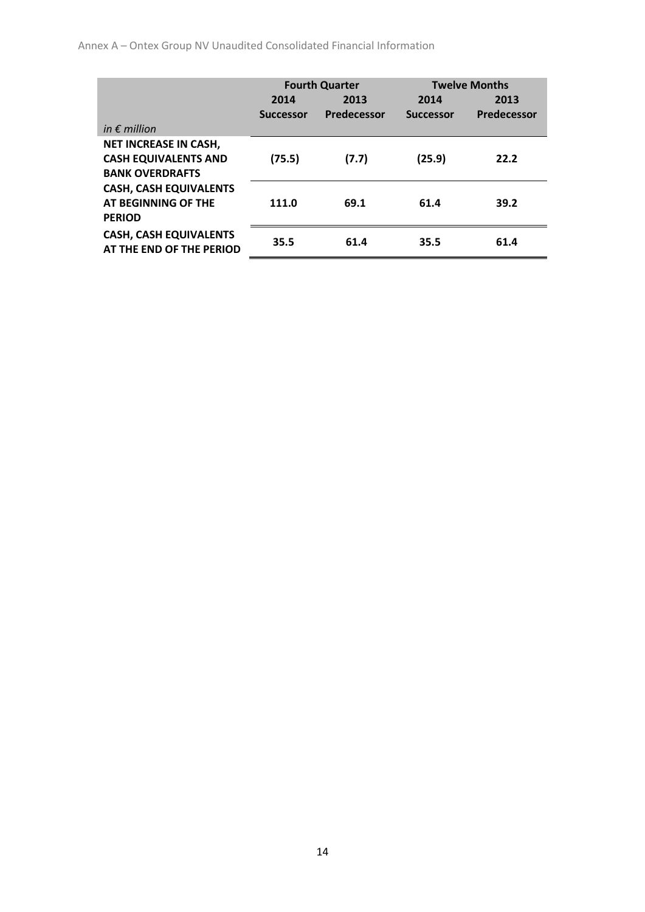Annex A – Ontex Group NV Unaudited Consolidated Financial Information

|                                                           |                  | <b>Fourth Quarter</b> | <b>Twelve Months</b> |             |
|-----------------------------------------------------------|------------------|-----------------------|----------------------|-------------|
|                                                           | 2014             | 2013                  | 2014                 | 2013        |
|                                                           | <b>Successor</b> | Predecessor           | <b>Successor</b>     | Predecessor |
| in $\epsilon$ million                                     |                  |                       |                      |             |
| <b>NET INCREASE IN CASH,</b>                              |                  |                       |                      |             |
| <b>CASH EQUIVALENTS AND</b><br><b>BANK OVERDRAFTS</b>     | (75.5)           | (7.7)                 | (25.9)               | 22.2        |
| <b>CASH, CASH EQUIVALENTS</b>                             |                  |                       |                      |             |
| AT BEGINNING OF THE                                       | 111.0            | 69.1                  | 61.4                 | 39.2        |
| <b>PERIOD</b>                                             |                  |                       |                      |             |
| <b>CASH, CASH EQUIVALENTS</b><br>AT THE END OF THE PERIOD | 35.5             | 61.4                  | 35.5                 | 61.4        |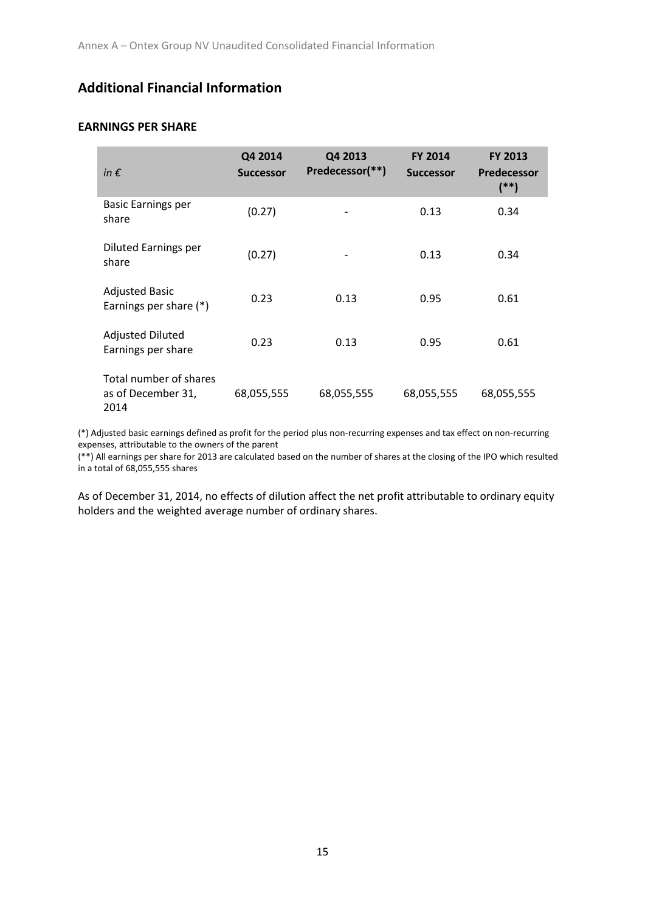## **Additional Financial Information**

### **EARNINGS PER SHARE**

| in $\epsilon$                                        | Q4 2014<br><b>Successor</b> | Q4 2013<br>Predecessor(**) | <b>FY 2014</b><br><b>Successor</b> | <b>FY 2013</b><br><b>Predecessor</b><br>$(**)$ |
|------------------------------------------------------|-----------------------------|----------------------------|------------------------------------|------------------------------------------------|
| <b>Basic Earnings per</b><br>share                   | (0.27)                      |                            | 0.13                               | 0.34                                           |
| <b>Diluted Earnings per</b><br>share                 | (0.27)                      |                            | 0.13                               | 0.34                                           |
| <b>Adjusted Basic</b><br>Earnings per share (*)      | 0.23                        | 0.13                       | 0.95                               | 0.61                                           |
| <b>Adjusted Diluted</b><br>Earnings per share        | 0.23                        | 0.13                       | 0.95                               | 0.61                                           |
| Total number of shares<br>as of December 31,<br>2014 | 68,055,555                  | 68,055,555                 | 68,055,555                         | 68,055,555                                     |

(\*) Adjusted basic earnings defined as profit for the period plus non-recurring expenses and tax effect on non-recurring expenses, attributable to the owners of the parent

(\*\*) All earnings per share for 2013 are calculated based on the number of shares at the closing of the IPO which resulted in a total of 68,055,555 shares

As of December 31, 2014, no effects of dilution affect the net profit attributable to ordinary equity holders and the weighted average number of ordinary shares.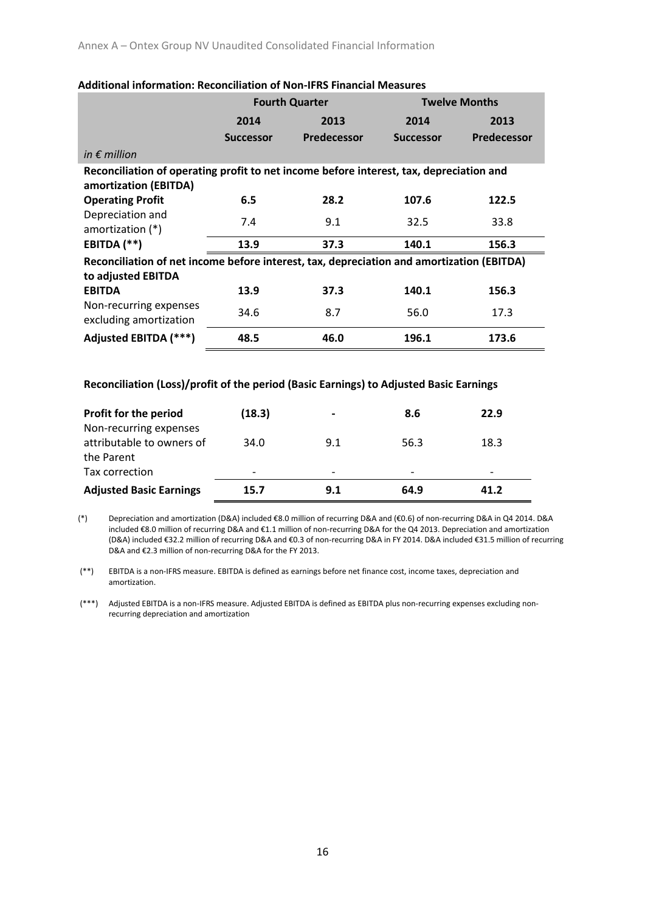|                                                                                                                  |                  | <b>Fourth Quarter</b> |                  | <b>Twelve Months</b> |  |  |
|------------------------------------------------------------------------------------------------------------------|------------------|-----------------------|------------------|----------------------|--|--|
|                                                                                                                  | 2014             | 2013                  | 2014             | 2013                 |  |  |
|                                                                                                                  | <b>Successor</b> | Predecessor           | <b>Successor</b> | Predecessor          |  |  |
| in $\epsilon$ million                                                                                            |                  |                       |                  |                      |  |  |
| Reconciliation of operating profit to net income before interest, tax, depreciation and<br>amortization (EBITDA) |                  |                       |                  |                      |  |  |
| <b>Operating Profit</b>                                                                                          | 6.5              | 28.2                  | 107.6            | 122.5                |  |  |
| Depreciation and<br>amortization $(*)$                                                                           | 7.4              | 9.1                   | 32.5             | 33.8                 |  |  |
| EBITDA (**)                                                                                                      | 13.9             | 37.3                  | 140.1            | 156.3                |  |  |
| Reconciliation of net income before interest, tax, depreciation and amortization (EBITDA)                        |                  |                       |                  |                      |  |  |
| to adjusted EBITDA                                                                                               |                  |                       |                  |                      |  |  |
| <b>EBITDA</b>                                                                                                    | 13.9             | 37.3                  | 140.1            | 156.3                |  |  |
| Non-recurring expenses<br>excluding amortization                                                                 | 34.6             | 8.7                   | 56.0             | 17.3                 |  |  |
| Adjusted EBITDA (***)                                                                                            | 48.5             | 46.0                  | 196.1            | 173.6                |  |  |

#### **Additional information: Reconciliation of Non-IFRS Financial Measures**

#### **Reconciliation (Loss)/profit of the period (Basic Earnings) to Adjusted Basic Earnings**

| <b>Profit for the period</b>   | (18.3)                   | $\overline{\phantom{0}}$ | 8.6  | 22.9 |
|--------------------------------|--------------------------|--------------------------|------|------|
| Non-recurring expenses         |                          |                          |      |      |
| attributable to owners of      | 34.0                     | 9.1                      | 56.3 | 18.3 |
| the Parent                     |                          |                          |      |      |
| Tax correction                 | $\overline{\phantom{0}}$ |                          |      |      |
| <b>Adjusted Basic Earnings</b> | 15.7                     | 9.1                      | 64.9 | 41.2 |

(\*) Depreciation and amortization (D&A) included €8.0 million of recurring D&A and (€0.6) of non-recurring D&A in Q4 2014. D&A included €8.0 million of recurring D&A and €1.1 million of non-recurring D&A for the Q4 2013. Depreciation and amortization (D&A) included €32.2 million of recurring D&A and €0.3 of non-recurring D&A in FY 2014. D&A included €31.5 million of recurring D&A and €2.3 million of non-recurring D&A for the FY 2013.

(\*\*) EBITDA is a non-IFRS measure. EBITDA is defined as earnings before net finance cost, income taxes, depreciation and amortization.

(\*\*\*) Adjusted EBITDA is a non-IFRS measure. Adjusted EBITDA is defined as EBITDA plus non-recurring expenses excluding nonrecurring depreciation and amortization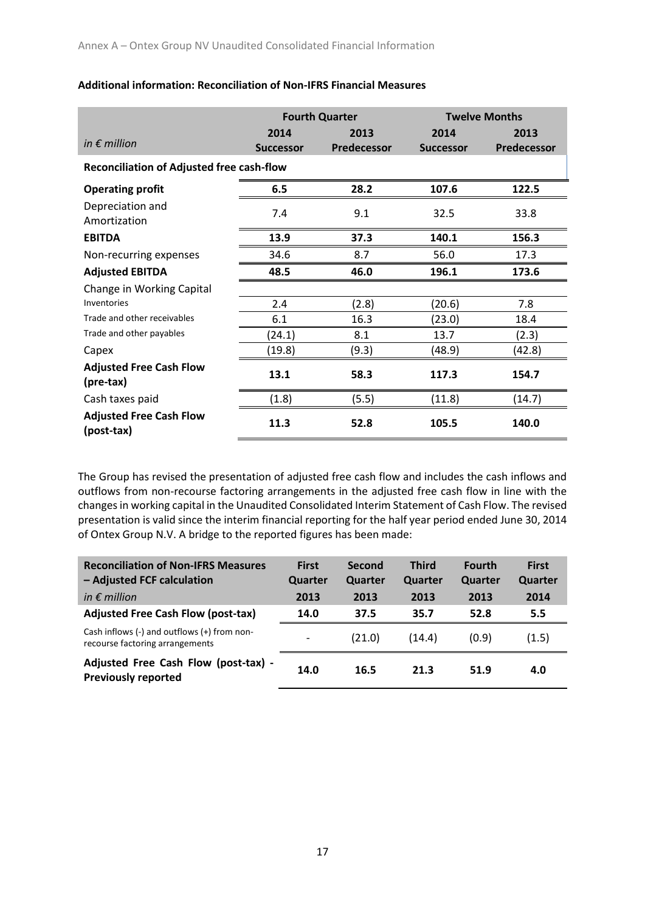|                                                  |                  | <b>Fourth Quarter</b> | <b>Twelve Months</b> |             |  |
|--------------------------------------------------|------------------|-----------------------|----------------------|-------------|--|
|                                                  | 2014             | 2013                  | 2014                 | 2013        |  |
| in $\epsilon$ million                            | <b>Successor</b> | Predecessor           | <b>Successor</b>     | Predecessor |  |
| <b>Reconciliation of Adjusted free cash-flow</b> |                  |                       |                      |             |  |
| <b>Operating profit</b>                          | 6.5              | 28.2                  | 107.6                | 122.5       |  |
| Depreciation and<br>Amortization                 | 7.4              | 9.1                   | 32.5                 | 33.8        |  |
| <b>EBITDA</b>                                    | 13.9             | 37.3                  | 140.1                | 156.3       |  |
| Non-recurring expenses                           | 34.6             | 8.7                   | 56.0                 | 17.3        |  |
| <b>Adjusted EBITDA</b>                           | 48.5             | 46.0                  | 196.1                | 173.6       |  |
| Change in Working Capital                        |                  |                       |                      |             |  |
| Inventories                                      | 2.4              | (2.8)                 | (20.6)               | 7.8         |  |
| Trade and other receivables                      | 6.1              | 16.3                  | (23.0)               | 18.4        |  |
| Trade and other payables                         | (24.1)           | 8.1                   | 13.7                 | (2.3)       |  |
| Capex                                            | (19.8)           | (9.3)                 | (48.9)               | (42.8)      |  |
| <b>Adjusted Free Cash Flow</b><br>(pre-tax)      | 13.1             | 58.3                  | 117.3                | 154.7       |  |
| Cash taxes paid                                  | (1.8)            | (5.5)                 | (11.8)               | (14.7)      |  |
| <b>Adjusted Free Cash Flow</b><br>(post-tax)     | 11.3             | 52.8                  | 105.5                | 140.0       |  |

#### **Additional information: Reconciliation of Non-IFRS Financial Measures**

The Group has revised the presentation of adjusted free cash flow and includes the cash inflows and outflows from non-recourse factoring arrangements in the adjusted free cash flow in line with the changes in working capital in the Unaudited Consolidated Interim Statement of Cash Flow. The revised presentation is valid since the interim financial reporting for the half year period ended June 30, 2014 of Ontex Group N.V. A bridge to the reported figures has been made:

| <b>Reconciliation of Non-IFRS Measures</b><br>- Adjusted FCF calculation           | <b>First</b><br>Quarter  | Second<br>Quarter | <b>Third</b><br>Quarter | <b>Fourth</b><br>Quarter | <b>First</b><br>Quarter |
|------------------------------------------------------------------------------------|--------------------------|-------------------|-------------------------|--------------------------|-------------------------|
| in $\epsilon$ million                                                              | 2013                     | 2013              | 2013                    | 2013                     | 2014                    |
| <b>Adjusted Free Cash Flow (post-tax)</b>                                          | 14.0                     | 37.5              | 35.7                    | 52.8                     | 5.5                     |
| Cash inflows $(-)$ and outflows $(+)$ from non-<br>recourse factoring arrangements | $\overline{\phantom{0}}$ | (21.0)            | (14.4)                  | (0.9)                    | (1.5)                   |
| Adjusted Free Cash Flow (post-tax) -<br><b>Previously reported</b>                 | 14.0                     | 16.5              | 21.3                    | 51.9                     | 4.0                     |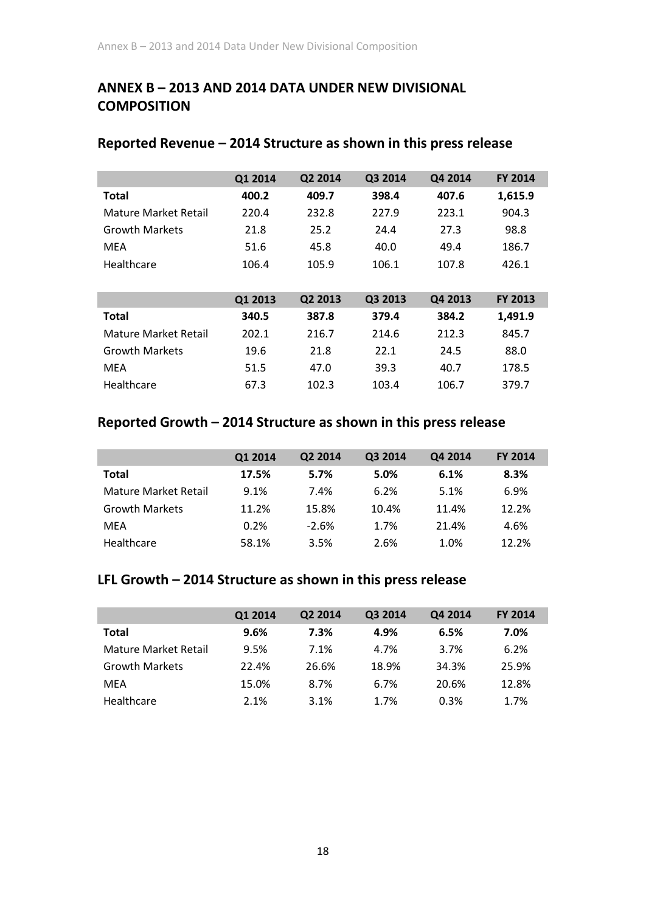# **ANNEX B – 2013 AND 2014 DATA UNDER NEW DIVISIONAL COMPOSITION**

|                             | Q1 2014 | Q2 2014 | Q3 2014 | Q4 2014 | <b>FY 2014</b> |
|-----------------------------|---------|---------|---------|---------|----------------|
| <b>Total</b>                | 400.2   | 409.7   | 398.4   | 407.6   | 1,615.9        |
| Mature Market Retail        | 220.4   | 232.8   | 227.9   | 223.1   | 904.3          |
| <b>Growth Markets</b>       | 21.8    | 25.2    | 24.4    | 27.3    | 98.8           |
| <b>MEA</b>                  | 51.6    | 45.8    | 40.0    | 49.4    | 186.7          |
| Healthcare                  | 106.4   | 105.9   | 106.1   | 107.8   | 426.1          |
|                             |         |         |         |         |                |
|                             | Q1 2013 | Q2 2013 | Q3 2013 | Q4 2013 | <b>FY 2013</b> |
| <b>Total</b>                | 340.5   | 387.8   | 379.4   | 384.2   | 1,491.9        |
| <b>Mature Market Retail</b> | 202.1   | 216.7   | 214.6   | 212.3   | 845.7          |
| <b>Growth Markets</b>       | 19.6    | 21.8    | 22.1    | 24.5    | 88.0           |
| <b>MEA</b>                  | 51.5    | 47.0    | 39.3    | 40.7    | 178.5          |
| Healthcare                  | 67.3    | 102.3   | 103.4   | 106.7   | 379.7          |

### **Reported Revenue – 2014 Structure as shown in this press release**

### **Reported Growth – 2014 Structure as shown in this press release**

|                       | Q1 2014 | Q2 2014 | Q3 2014 | Q4 2014 | <b>FY 2014</b> |
|-----------------------|---------|---------|---------|---------|----------------|
| <b>Total</b>          | 17.5%   | 5.7%    | 5.0%    | 6.1%    | 8.3%           |
| Mature Market Retail  | 9.1%    | 7.4%    | 6.2%    | 5.1%    | 6.9%           |
| <b>Growth Markets</b> | 11.2%   | 15.8%   | 10.4%   | 11.4%   | 12.2%          |
| MFA                   | 0.2%    | $-2.6%$ | 1.7%    | 21.4%   | 4.6%           |
| Healthcare            | 58.1%   | 3.5%    | 2.6%    | 1.0%    | 12.2%          |

### **LFL Growth – 2014 Structure as shown in this press release**

|                       | Q1 2014 | Q2 2014 | Q3 2014 | Q4 2014 | <b>FY 2014</b> |
|-----------------------|---------|---------|---------|---------|----------------|
| <b>Total</b>          | 9.6%    | 7.3%    | 4.9%    | 6.5%    | 7.0%           |
| Mature Market Retail  | 9.5%    | 7.1%    | 4.7%    | 3.7%    | 6.2%           |
| <b>Growth Markets</b> | 22.4%   | 26.6%   | 18.9%   | 34.3%   | 25.9%          |
| MFA                   | 15.0%   | 8.7%    | 6.7%    | 20.6%   | 12.8%          |
| Healthcare            | 2.1%    | 3.1%    | 1.7%    | 0.3%    | 1.7%           |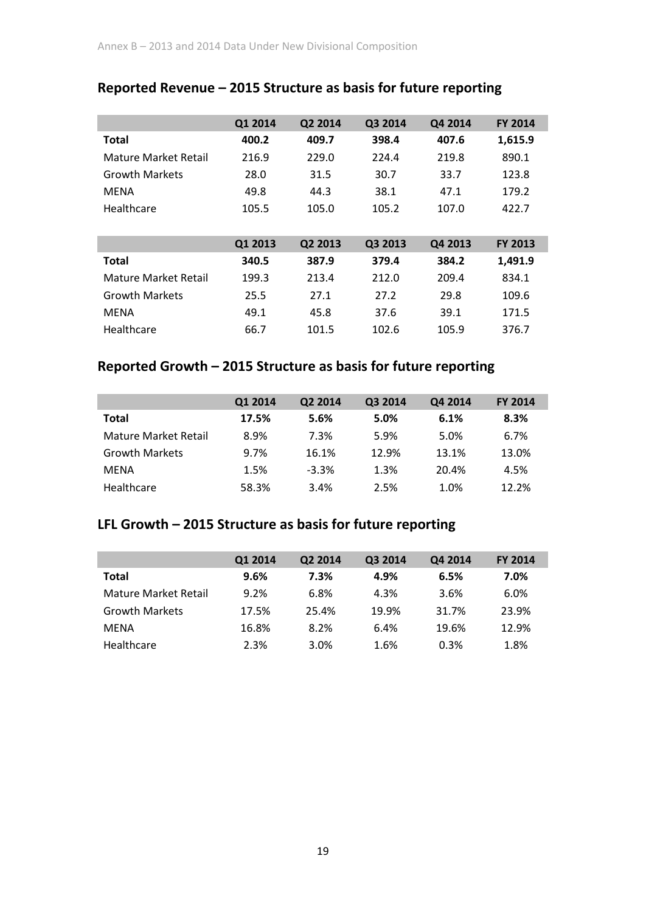|                             | Q1 2014 | Q2 2014 | Q3 2014 | Q4 2014 | <b>FY 2014</b> |
|-----------------------------|---------|---------|---------|---------|----------------|
| <b>Total</b>                | 400.2   | 409.7   | 398.4   | 407.6   | 1,615.9        |
| Mature Market Retail        | 216.9   | 229.0   | 224.4   | 219.8   | 890.1          |
| <b>Growth Markets</b>       | 28.0    | 31.5    | 30.7    | 33.7    | 123.8          |
| <b>MENA</b>                 | 49.8    | 44.3    | 38.1    | 47.1    | 179.2          |
| Healthcare                  | 105.5   | 105.0   | 105.2   | 107.0   | 422.7          |
|                             |         |         |         |         |                |
|                             | Q1 2013 | Q2 2013 | Q3 2013 | Q4 2013 | <b>FY 2013</b> |
|                             |         |         |         |         |                |
| <b>Total</b>                | 340.5   | 387.9   | 379.4   | 384.2   | 1,491.9        |
| <b>Mature Market Retail</b> | 199.3   | 213.4   | 212.0   | 209.4   | 834.1          |
| <b>Growth Markets</b>       | 25.5    | 27.1    | 27.2    | 29.8    | 109.6          |
| <b>MENA</b>                 | 49.1    | 45.8    | 37.6    | 39.1    | 171.5          |

## **Reported Revenue – 2015 Structure as basis for future reporting**

## **Reported Growth – 2015 Structure as basis for future reporting**

|                       | Q1 2014 | Q2 2014 | Q3 2014 | Q4 2014 | <b>FY 2014</b> |
|-----------------------|---------|---------|---------|---------|----------------|
| <b>Total</b>          | 17.5%   | 5.6%    | 5.0%    | 6.1%    | 8.3%           |
| Mature Market Retail  | 8.9%    | 7.3%    | 5.9%    | 5.0%    | 6.7%           |
| <b>Growth Markets</b> | 9.7%    | 16.1%   | 12.9%   | 13.1%   | 13.0%          |
| <b>MFNA</b>           | 1.5%    | $-3.3%$ | 1.3%    | 20.4%   | 4.5%           |
| Healthcare            | 58.3%   | 3.4%    | 2.5%    | 1.0%    | 12.2%          |

# **LFL Growth – 2015 Structure as basis for future reporting**

|                       | Q1 2014 | Q2 2014 | Q3 2014 | Q4 2014 | <b>FY 2014</b> |
|-----------------------|---------|---------|---------|---------|----------------|
| <b>Total</b>          | 9.6%    | 7.3%    | 4.9%    | 6.5%    | 7.0%           |
| Mature Market Retail  | 9.2%    | 6.8%    | 4.3%    | 3.6%    | 6.0%           |
| <b>Growth Markets</b> | 17.5%   | 25.4%   | 19.9%   | 31.7%   | 23.9%          |
| <b>MFNA</b>           | 16.8%   | 8.2%    | 6.4%    | 19.6%   | 12.9%          |
| Healthcare            | 2.3%    | 3.0%    | 1.6%    | 0.3%    | 1.8%           |